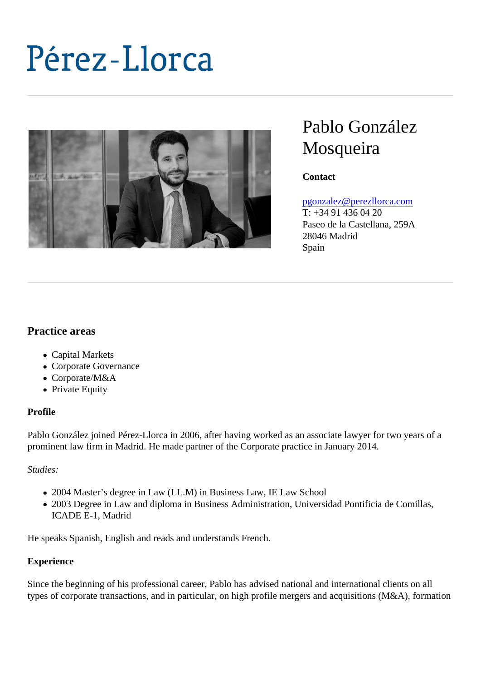# Pablo González **Mosqueira**

**Contact** 

# [pgonzalez@perezllorca.co](mailto:pgonzalez@perezllorca.com)m

T: +34 91 436 04 20 Paseo de la Castellana, 259A 28046 Madrid Spain

Practice areas

- Capital Markets
- Corporate Governance
- Corporate/M&A
- Private Equity

#### Profile

Pablo González joined Pérez-Llorca in 2006, after having worked as an associate lawyer for two years of a prominent law firm in Madrid. He made partner of the Corporate practice in January 2014.

Studies:

- 2004 Master's degree in Law (LL.M) in Business Law, IE Law School
- 2003 Degree in Law and diploma in Business Administration, Universidad Pontificia de Comillas, ICADE E-1, Madrid

He speaks Spanish, English and reads and understands French.

#### **Experience**

Since the beginning of his professional career, Pablo has advised national and international clients on all types of corporate transactions, and in particular, on high profile mergers and acquisitions (M&A), formatic